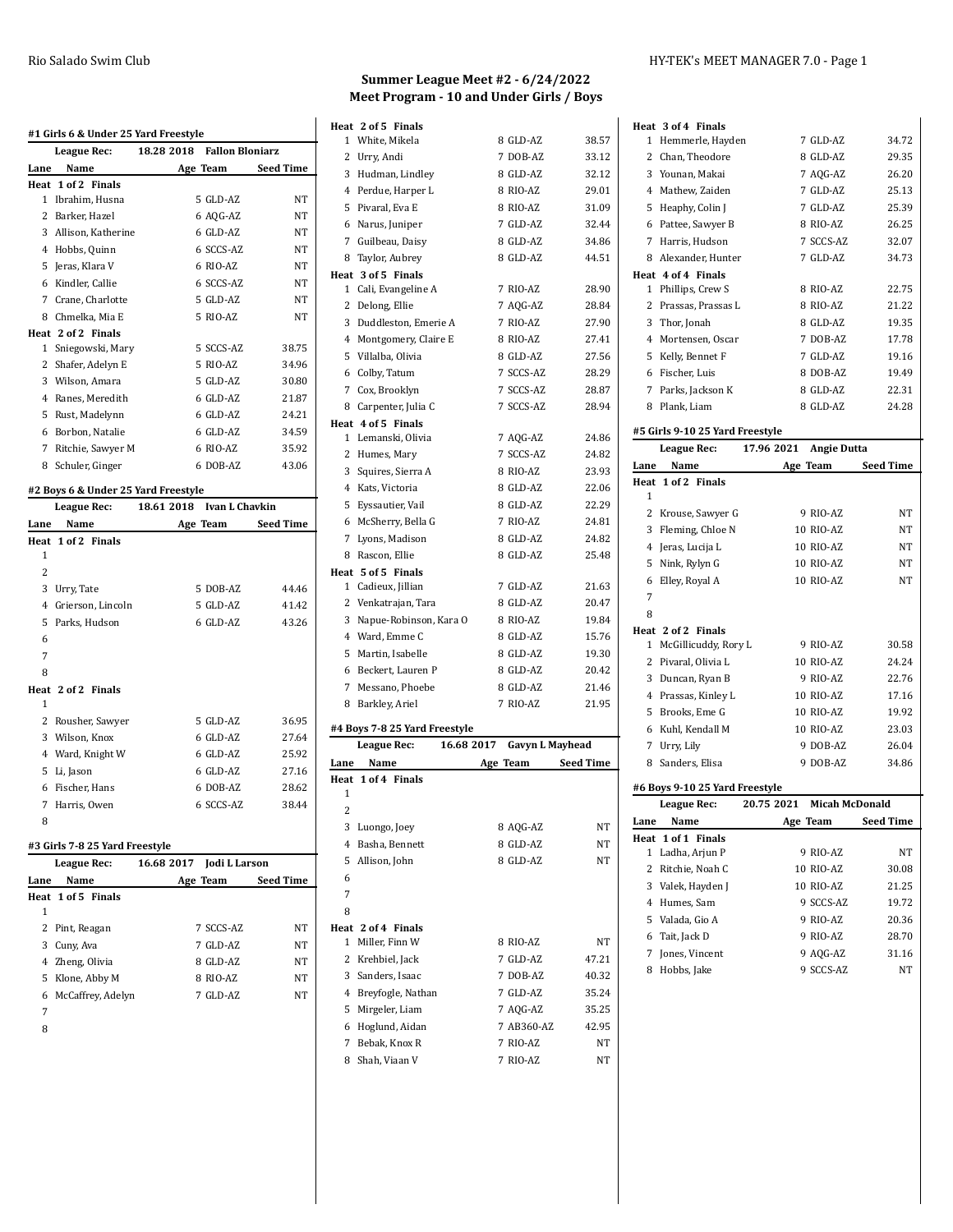|                | #1 Girls 6 & Under 25 Yard Freestyle<br>League Rec: | 18.28 2018 Fallon Bloniarz          |                                                    |
|----------------|-----------------------------------------------------|-------------------------------------|----------------------------------------------------|
| Lane           | Name                                                | Age Team                            | <b>Seed Time</b>                                   |
|                | Heat 1 of 2 Finals                                  |                                     |                                                    |
|                | 1 Ibrahim, Husna                                    | 5 GLD-AZ                            | NT                                                 |
|                | 2 Barker, Hazel                                     | 6 AQG-AZ                            | NT                                                 |
|                | 3 Allison, Katherine                                | 6 GLD-AZ                            | NT                                                 |
|                | 4 Hobbs, Quinn                                      | 6 SCCS-AZ                           | NT                                                 |
|                | 5 Jeras, Klara V                                    | 6 RIO-AZ                            | NT                                                 |
|                | 6 Kindler, Callie                                   | 6 SCCS-AZ                           | NT                                                 |
|                | 7 Crane, Charlotte                                  | 5 GLD-AZ                            | NT                                                 |
|                | 8 Chmelka, Mia E                                    | 5 RIO-AZ                            | NT                                                 |
|                | Heat 2 of 2 Finals                                  |                                     |                                                    |
|                | 1 Sniegowski, Mary                                  | 5 SCCS-AZ                           | 38.75                                              |
|                | 2 Shafer, Adelyn E                                  | 5 RIO-AZ                            | 34.96                                              |
|                | 3 Wilson, Amara                                     | 5 GLD-AZ                            | 30.80                                              |
|                | 4 Ranes, Meredith                                   | 6 GLD-AZ                            | 21.87                                              |
|                | 5 Rust, Madelynn                                    | 6 GLD-AZ                            | 24.21                                              |
|                | 6 Borbon, Natalie                                   | 6 GLD-AZ                            | 34.59                                              |
|                |                                                     |                                     | 35.92                                              |
|                | 7 Ritchie, Sawyer M                                 | 6 RIO-AZ                            |                                                    |
|                | 8 Schuler, Ginger                                   | 6 DOB-AZ                            |                                                    |
|                |                                                     |                                     | 43.06                                              |
|                | #2 Boys 6 & Under 25 Yard Freestyle                 | <b>Ivan L Chavkin</b><br>18.61 2018 |                                                    |
| Lane           | League Rec:<br>Name                                 |                                     | <b>Seed Time</b>                                   |
|                | Heat 1 of 2 Finals                                  | Age Team                            |                                                    |
| 1              |                                                     |                                     |                                                    |
| 2              |                                                     |                                     |                                                    |
|                | 3 Urry, Tate                                        | 5 DOB-AZ                            |                                                    |
|                | 4 Grierson, Lincoln                                 | 5 GLD-AZ                            |                                                    |
|                | 5 Parks, Hudson                                     | 6 GLD-AZ                            |                                                    |
| 6              |                                                     |                                     |                                                    |
| 7              |                                                     |                                     |                                                    |
| 8              |                                                     |                                     | 44.46<br>41.42<br>43.26                            |
|                | Heat 2 of 2 Finals                                  |                                     |                                                    |
| 1              |                                                     |                                     |                                                    |
|                | 2 Rousher, Sawyer                                   | 5 GLD-AZ                            |                                                    |
|                | 3 Wilson, Knox                                      | 6 GLD-AZ                            |                                                    |
|                | 4 Ward, Knight W                                    | 6 GLD-AZ                            |                                                    |
|                | 5 Li, Jason                                         | 6 GLD-AZ                            |                                                    |
|                | 6 Fischer, Hans                                     | 6 DOB-AZ                            |                                                    |
| $\overline{7}$ | Harris, Owen                                        | 6 SCCS-AZ                           | 36.95<br>27.64<br>25.92<br>27.16<br>28.62<br>38.44 |

#### **#3 Girls 7-8 25 Yard Freestyle**

| 16.68 2017<br>League Rec: |                     | Jodi L Larson |           |                  |
|---------------------------|---------------------|---------------|-----------|------------------|
| Lane                      | Name                |               | Age Team  | <b>Seed Time</b> |
|                           | Heat 1 of 5 Finals  |               |           |                  |
| 1                         |                     |               |           |                  |
|                           | 2 Pint, Reagan      |               | 7 SCCS-AZ | <b>NT</b>        |
| 3                         | Cuny, Ava           |               | 7 GLD-AZ  | NT               |
|                           | 4 Zheng, Olivia     |               | 8 GLD-AZ  | NT               |
|                           | 5 Klone, Abby M     |               | 8 RIO-AZ  | NT               |
|                           | 6 McCaffrey, Adelyn |               | 7 GLD-AZ  | NT               |
| 7                         |                     |               |           |                  |

### **Summer League Meet #2 - 6/24/2022 Meet Program - 10 and Under Girls / Boys**

|                | Heat 2 of 5 Finals            |            |                        |                  |
|----------------|-------------------------------|------------|------------------------|------------------|
|                | 1 White, Mikela               |            | 8 GLD-AZ               | 38.57            |
| 2              | Urry, Andi                    |            | 7 DOB-AZ               | 33.12            |
| 3              | Hudman, Lindley               |            | 8 GLD-AZ               | 32.12            |
|                | 4 Perdue, Harper L            |            | 8 RIO-AZ               | 29.01            |
| 5              | Pivaral, Eva E                |            | 8 RIO-AZ               | 31.09            |
|                | 6 Narus, Juniper              |            | 7 GLD-AZ               | 32.44            |
| 7              | Guilbeau, Daisy               |            | 8 GLD-AZ               | 34.86            |
| 8              | Taylor, Aubrey                |            | 8 GLD-AZ               | 44.51            |
|                | Heat 3 of 5 Finals            |            |                        |                  |
| 1              | Cali, Evangeline A            |            | 7 RIO-AZ               | 28.90            |
| $\overline{2}$ | Delong, Ellie                 |            | 7 AQG-AZ               | 28.84            |
|                | 3 Duddleston, Emerie A        |            | 7 RIO-AZ               | 27.90            |
|                | 4 Montgomery, Claire E        |            | 8 RIO-AZ               | 27.41            |
| 5              | Villalba, Olivia              |            | 8 GLD-AZ               | 27.56            |
|                | 6 Colby, Tatum                |            | 7 SCCS-AZ              | 28.29            |
|                | 7 Cox, Brooklyn               |            | 7 SCCS-AZ              | 28.87            |
|                | 8 Carpenter, Julia C          |            | 7 SCCS-AZ              | 28.94            |
|                | Heat 4 of 5 Finals            |            |                        |                  |
|                | 1 Lemanski, Olivia            |            | 7 AQG-AZ               | 24.86            |
| $\overline{2}$ | Humes, Mary                   |            | 7 SCCS-AZ              | 24.82            |
| 3              | Squires, Sierra A             |            | 8 RIO-AZ               | 23.93            |
|                | 4 Kats, Victoria              |            | 8 GLD-AZ               | 22.06            |
| 5              | Eyssautier, Vail              |            | 8 GLD-AZ               | 22.29            |
| 6              | McSherry, Bella G             |            | 7 RIO-AZ               | 24.81            |
| $\overline{7}$ | Lyons, Madison                |            | 8 GLD-AZ               | 24.82            |
| 8              | Rascon, Ellie                 |            | 8 GLD-AZ               | 25.48            |
|                | Heat 5 of 5 Finals            |            |                        |                  |
| $\mathbf{1}$   | Cadieux, Jillian              |            | 7 GLD-AZ               | 21.63            |
| $\overline{2}$ | Venkatrajan, Tara             |            | 8 GLD-AZ               | 20.47            |
| 3              | Napue-Robinson, Kara O        |            | 8 RIO-AZ               | 19.84            |
|                | 4 Ward, Emme C                |            | 8 GLD-AZ               | 15.76            |
| 5              | Martin, Isabelle              |            | 8 GLD-AZ               | 19.30            |
|                | 6 Beckert, Lauren P           |            | 8 GLD-AZ               | 20.42            |
| 7              | Messano, Phoebe               |            | 8 GLD-AZ               | 21.46            |
| 8              | Barkley, Ariel                |            | 7 RIO-AZ               | 21.95            |
|                | #4 Boys 7-8 25 Yard Freestyle |            |                        |                  |
|                | League Rec:                   | 16.68 2017 | <b>Gavyn L Mayhead</b> |                  |
| Lane           | Name                          | Age Team   |                        | <b>Seed Time</b> |
| Heat           | 1 of 4 Finals                 |            |                        |                  |

| League Rec: |                    | 16.68 2017<br>Gavyn L Mayhead |                  |
|-------------|--------------------|-------------------------------|------------------|
| Lane        | Name               | Age Team                      | <b>Seed Time</b> |
|             | Heat 1 of 4 Finals |                               |                  |
| 1           |                    |                               |                  |
| 2           |                    |                               |                  |
| 3           | Luongo, Joey       | 8 AQG-AZ                      | NT               |
| 4           | Basha, Bennett     | 8 GLD-AZ                      | NT               |
| 5           | Allison, John      | 8 GLD-AZ                      | <b>NT</b>        |
| 6           |                    |                               |                  |
| 7           |                    |                               |                  |
| 8           |                    |                               |                  |
|             | Heat 2 of 4 Finals |                               |                  |
| 1           | Miller, Finn W     | 8 RIO-AZ                      | <b>NT</b>        |
| 2           | Krehbiel, Jack     | 7 GLD-AZ                      | 47.21            |
| 3           | Sanders, Isaac     | 7 DOB-AZ                      | 40.32            |
| 4           | Breyfogle, Nathan  | 7 GLD-AZ                      | 35.24            |
| 5           | Mirgeler, Liam     | 7 AQG-AZ                      | 35.25            |
| 6           | Hoglund, Aidan     | 7 AB360-AZ                    | 42.95            |
| 7           | Bebak, Knox R      | 7 RIO-AZ                      | <b>NT</b>        |
| 8           | Shah, Viaan V      | 7 RIO-AZ                      | NT               |
|             |                    |                               |                  |

|              | Heat 3 of 4 Finals              |                                  |           |
|--------------|---------------------------------|----------------------------------|-----------|
| 1            | Hemmerle, Hayden                | 7 GLD-AZ                         | 34.72     |
|              | 2 Chan, Theodore                | 8 GLD-AZ                         | 29.35     |
|              | 3 Younan, Makai                 | 7 AQG-AZ                         | 26.20     |
|              | 4 Mathew, Zaiden                | 7 GLD-AZ                         | 25.13     |
|              | 5 Heaphy, Colin J               | 7 GLD-AZ                         | 25.39     |
|              | 6 Pattee, Sawyer B              | 8 RIO-AZ                         | 26.25     |
|              | 7 Harris, Hudson                | 7 SCCS-AZ                        | 32.07     |
|              | 8 Alexander, Hunter             | 7 GLD-AZ                         | 34.73     |
|              | Heat 4 of 4 Finals              |                                  |           |
| 1            | Phillips, Crew S                | 8 RIO-AZ                         | 22.75     |
|              | 2 Prassas, Prassas L            | 8 RIO-AZ                         | 21.22     |
|              | 3 Thor, Jonah                   | 8 GLD-AZ                         | 19.35     |
|              | 4 Mortensen, Oscar              | 7 DOB-AZ                         | 17.78     |
|              | 5 Kelly, Bennet F               | 7 GLD-AZ                         | 19.16     |
|              | 6 Fischer, Luis                 | 8 DOB-AZ                         | 19.49     |
|              | 7 Parks, Jackson K              | 8 GLD-AZ                         | 22.31     |
| 8            | Plank, Liam                     | 8 GLD-AZ                         | 24.28     |
|              |                                 |                                  |           |
|              | #5 Girls 9-10 25 Yard Freestyle |                                  |           |
|              | League Rec:                     | 17.96 2021<br><b>Angie Dutta</b> |           |
| Lane         | Name                            | Age Team                         | Seed Time |
|              | Heat 1 of 2 Finals              |                                  |           |
| 1            |                                 |                                  |           |
|              | 2 Krouse, Sawyer G              | 9 RIO-AZ                         | NΤ        |
|              | 3 Fleming, Chloe N              | 10 RIO-AZ                        | NT        |
|              | 4 Jeras, Lucija L               | 10 RIO-AZ                        | NΤ        |
| 5            | Nink, Rylyn G                   | 10 RIO-AZ                        | NΤ        |
| 6            | Elley, Royal A                  | 10 RIO-AZ                        | NΤ        |
| 7            |                                 |                                  |           |
| 8            |                                 |                                  |           |
|              | Heat 2 of 2 Finals              |                                  |           |
| $\mathbf{1}$ | McGillicuddy, Rory L            | 9 RIO-AZ                         | 30.58     |
|              | 2 Pivaral, Olivia L             |                                  | 24.24     |
|              |                                 | 10 RIO-AZ                        |           |
|              | 3 Duncan, Ryan B                | 9 RIO-AZ                         | 22.76     |
|              | 4 Prassas, Kinley L             | 10 RIO-AZ                        | 17.16     |
|              | 5 Brooks, Eme G                 | 10 RIO-AZ                        | 19.92     |
|              | 6 Kuhl, Kendall M               | 10 RIO-AZ                        | 23.03     |
|              | 7 Urry, Lily                    | 9 DOB-AZ                         | 26.04     |
|              | 8 Sanders, Elisa                | 9 DOB-AZ                         | 34.86     |
|              | #6 Boys 9-10 25 Yard Freestyle  |                                  |           |
|              | <b>League Rec:</b>              | 20.75 2021<br>Micah McDonald     |           |
| Lane         | Name                            | Age Team                         | Seed Time |
| Heat         | 1 of 1 Finals                   |                                  |           |
| 1            | Ladha, Arjun P                  | 9 RIO-AZ                         | NΤ        |
|              | 2 Ritchie, Noah C               | 10 RIO-AZ                        | 30.08     |
|              | 3 Valek, Hayden J               | 10 RIO-AZ                        | 21.25     |
|              | 4 Humes, Sam                    | 9 SCCS-AZ                        | 19.72     |
| 5            | Valada, Gio A                   | 9 RIO-AZ                         | 20.36     |
| 6            | Tait, Jack D                    | 9 RIO-AZ                         | 28.70     |
| 7            | Jones, Vincent                  | 9 AOG-AZ                         | 31.16     |
| 8            | Hobbs, Jake                     | 9 SCCS-AZ                        | NΤ        |
|              |                                 |                                  |           |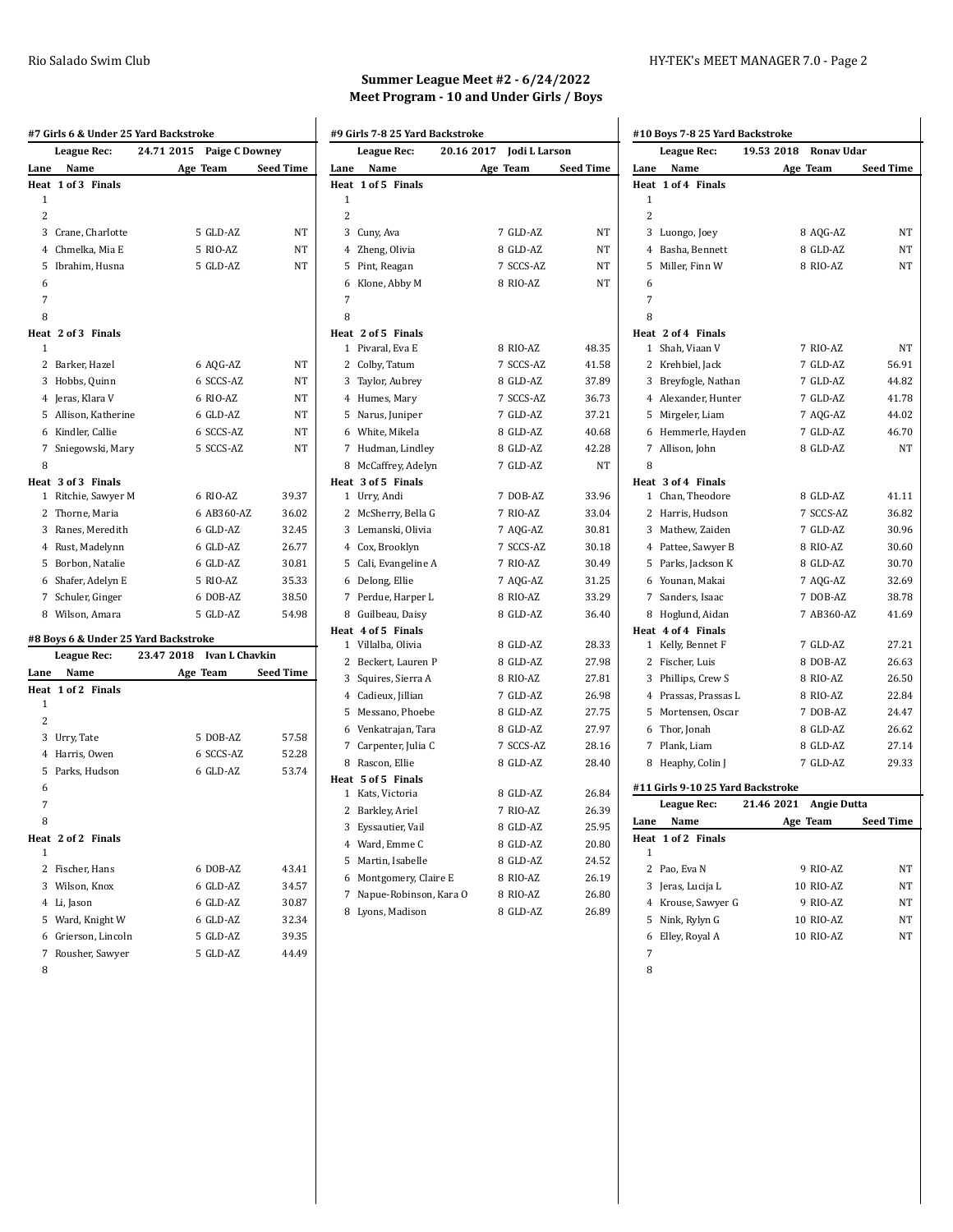|                | #7 Girls 6 & Under 25 Yard Backstroke   |                           |                       |
|----------------|-----------------------------------------|---------------------------|-----------------------|
|                | League Rec:                             | 24.71 2015                | <b>Paige C Downey</b> |
| Lane           | Name                                    | Age Team                  | <b>Seed Time</b>      |
| Heat           | 1 of 3 Finals                           |                           |                       |
| 1              |                                         |                           |                       |
| $\overline{c}$ |                                         |                           |                       |
|                | 3 Crane, Charlotte                      | 5 GLD-AZ                  | NΤ                    |
|                | 4 Chmelka, Mia E                        | 5 RIO-AZ                  | NT                    |
| 5              | Ibrahim, Husna                          | 5 GLD-AZ                  | NT                    |
| 6              |                                         |                           |                       |
| 7              |                                         |                           |                       |
| 8              |                                         |                           |                       |
|                | Heat 2 of 3 Finals                      |                           |                       |
| 1              |                                         |                           |                       |
| $\overline{c}$ | Barker, Hazel                           | 6 AQG-AZ                  | NT                    |
| 3              | Hobbs, Quinn                            | 6 SCCS-AZ                 | NΤ                    |
|                | 4 Jeras, Klara V                        | 6 RIO-AZ                  | NT                    |
| 5              | Allison, Katherine                      | 6 GLD-AZ                  | NT                    |
|                | 6 Kindler, Callie                       | 6 SCCS-AZ                 | NT                    |
| 7              | Sniegowski, Mary                        | 5 SCCS-AZ                 | NΤ                    |
| 8              |                                         |                           |                       |
| 1              | Heat 3 of 3 Finals<br>Ritchie, Sawyer M | 6 RIO-AZ                  | 39.37                 |
|                | 2 Thorne, Maria                         | 6 AB360-AZ                | 36.02                 |
|                | 3 Ranes, Meredith                       | 6 GLD-AZ                  | 32.45                 |
|                | 4 Rust, Madelynn                        | 6 GLD-AZ                  | 26.77                 |
|                | 5 Borbon, Natalie                       | 6 GLD-AZ                  | 30.81                 |
|                | 6 Shafer, Adelyn E                      | 5 RIO-AZ                  | 35.33                 |
|                | 7 Schuler, Ginger                       | 6 DOB-AZ                  | 38.50                 |
| 8              | Wilson, Amara                           | 5 GLD-AZ                  | 54.98                 |
|                | #8 Boys 6 & Under 25 Yard Backstroke    |                           |                       |
|                | League Rec:                             | 23.47 2018 Ivan L Chavkin |                       |
| Lane           | Name                                    | Age Team                  | <b>Seed Time</b>      |
| Heat           | 1 of 2 Finals                           |                           |                       |
| 1              |                                         |                           |                       |
| $\overline{2}$ |                                         |                           |                       |
| 3              | Urry, Tate                              | 5 DOB-AZ                  | 57.58                 |
| 4              | Harris, Owen                            | 6 SCCS-AZ                 | 52.28                 |

Parks, Hudson 6 GLD-AZ 53.74

 Fischer, Hans 6 DOB-AZ 43.41 Wilson, Knox 6 GLD-AZ 34.57 Li, Jason 6 GLD-AZ 30.87 Ward, Knight W 6 GLD-AZ 32.34 Grierson, Lincoln 5 GLD-AZ 39.35 7 Rousher, Sawyer 5 GLD-AZ 44.49

| × | ï<br>۰, |  |
|---|---------|--|

 

**Heat 2 of 2 Finals**

# **Summer League Meet #2 - 6/24/2022 Meet Program - 10 and Under Girls / Boys**

|                | #9 Girls 7-8 25 Yard Backstroke |            |               |                  |
|----------------|---------------------------------|------------|---------------|------------------|
|                | <b>League Rec:</b>              | 20.16 2017 | Jodi L Larson |                  |
| Lane           | Name                            |            | Age Team      | <b>Seed Time</b> |
| Heat           | 1 of 5 Finals                   |            |               |                  |
| 1              |                                 |            |               |                  |
| $\overline{2}$ |                                 |            |               |                  |
|                | 3 Cuny, Ava                     |            | 7 GLD-AZ      | NT               |
|                | 4 Zheng, Olivia                 |            | 8 GLD-AZ      | NT               |
| 5              | Pint, Reagan                    |            | 7 SCCS-AZ     | NT               |
| 6              | Klone, Abby M                   |            | 8 RIO-AZ      | NT               |
| 7              |                                 |            |               |                  |
| 8              |                                 |            |               |                  |
|                | Heat 2 of 5 Finals              |            |               |                  |
|                | 1 Pivaral, Eva E                |            | 8 RIO-AZ      | 48.35            |
|                | 2 Colby, Tatum                  |            | 7 SCCS-AZ     | 41.58            |
|                | 3 Taylor, Aubrey                |            | 8 GLD-AZ      | 37.89            |
|                | 4 Humes, Mary                   |            | 7 SCCS-AZ     | 36.73            |
|                | 5 Narus, Juniper                |            | 7 GLD-AZ      | 37.21            |
|                | 6 White, Mikela                 |            | 8 GLD-AZ      | 40.68            |
|                | 7 Hudman, Lindley               |            | 8 GLD-AZ      | 42.28            |
|                | 8 McCaffrey, Adelyn             |            | 7 GLD-AZ      | NT               |
|                | Heat 3 of 5 Finals              |            |               |                  |
|                | 1 Urry, Andi                    |            | 7 DOB-AZ      | 33.96            |
|                | 2 McSherry, Bella G             |            | 7 RIO-AZ      | 33.04            |
|                | 3 Lemanski, Olivia              |            | 7 AQG-AZ      | 30.81            |
|                | 4 Cox, Brooklyn                 |            | 7 SCCS-AZ     | 30.18            |
|                | 5 Cali, Evangeline A            |            | 7 RIO-AZ      | 30.49            |
|                | 6 Delong, Ellie                 |            | 7 AQG-AZ      | 31.25            |
|                | 7 Perdue, Harper L              |            | 8 RIO-AZ      | 33.29            |
|                | 8 Guilbeau, Daisy               |            | 8 GLD-AZ      | 36.40            |
|                | Heat 4 of 5 Finals              |            |               |                  |
|                | 1 Villalba, Olivia              |            | 8 GLD-AZ      | 28.33            |
|                | 2 Beckert, Lauren P             |            | 8 GLD-AZ      | 27.98            |
|                | 3 Squires, Sierra A             |            | 8 RIO-AZ      | 27.81            |
|                | 4 Cadieux, Jillian              |            | 7 GLD-AZ      | 26.98            |
| 5              | Messano, Phoebe                 |            | 8 GLD-AZ      | 27.75            |
|                | 6 Venkatrajan, Tara             |            | 8 GLD-AZ      | 27.97            |
|                | 7 Carpenter, Julia C            |            | 7 SCCS-AZ     | 28.16            |
|                | 8 Rascon, Ellie                 |            | 8 GLD-AZ      | 28.40            |
|                | Heat 5 of 5 Finals              |            |               |                  |
|                | 1 Kats, Victoria                |            | 8 GLD-AZ      | 26.84            |
|                | 2 Barkley, Ariel                |            | 7 RIO-AZ      | 26.39            |
|                | 3 Eyssautier, Vail              |            | 8 GLD-AZ      | 25.95            |
|                | 4 Ward, Emme C                  |            | 8 GLD-AZ      | 20.80            |
| 5              | Martin, Isabelle                |            | 8 GLD-AZ      | 24.52            |
|                | 6 Montgomery, Claire E          |            | 8 RIO-AZ      | 26.19            |
|                | 7 Napue-Robinson, Kara O        |            | 8 RIO-AZ      | 26.80            |
| 8              | Lyons, Madison                  |            | 8 GLD-AZ      | 26.89            |

|        | #10 Boys 7-8 25 Yard Backstroke   |            |                      |                  |
|--------|-----------------------------------|------------|----------------------|------------------|
|        | League Rec:                       | 19.53 2018 | Ronav Udar           |                  |
| Lane   | Name                              |            | Age Team             | Seed Time        |
|        | Heat 1 of 4 Finals                |            |                      |                  |
| 1      |                                   |            |                      |                  |
| 2      |                                   |            |                      |                  |
| 3      | Luongo, Joey                      |            | 8 AQG-AZ             | NΤ               |
| 4      | Basha, Bennett                    |            | 8 GLD-AZ             | NΤ               |
| 5      | Miller, Finn W                    |            | 8 RIO-AZ             | NT               |
| 6      |                                   |            |                      |                  |
| 7      |                                   |            |                      |                  |
| 8      |                                   |            |                      |                  |
|        | Heat 2 of 4 Finals                |            |                      | NT               |
| 1<br>2 | Shah, Viaan V                     |            | 7 RIO-AZ<br>7 GLD-AZ | 56.91            |
|        | Krehbiel, Jack                    |            |                      |                  |
|        | 3 Breyfogle, Nathan               |            | 7 GLD-AZ             | 44.82            |
|        | 4 Alexander, Hunter               |            | 7 GLD-AZ             | 41.78            |
| 5      | Mirgeler, Liam                    |            | 7 AQG-AZ<br>7 GLD-AZ | 44.02            |
| 6<br>7 | Hemmerle, Hayden<br>Allison, John |            | 8 GLD-AZ             | 46.70<br>NT      |
| 8      |                                   |            |                      |                  |
|        | Heat 3 of 4 Finals                |            |                      |                  |
| 1      | Chan, Theodore                    |            | 8 GLD-AZ             | 41.11            |
| 2      | Harris, Hudson                    |            | 7 SCCS-AZ            | 36.82            |
| 3      | Mathew, Zaiden                    |            | 7 GLD-AZ             | 30.96            |
|        | 4 Pattee, Sawyer B                |            | 8 RIO-AZ             | 30.60            |
|        | 5 Parks, Jackson K                |            | 8 GLD-AZ             | 30.70            |
|        | 6 Younan, Makai                   |            | 7 AQG-AZ             | 32.69            |
| 7      | Sanders, Isaac                    |            | 7 DOB-AZ             | 38.78            |
| 8      | Hoglund, Aidan                    |            | 7 AB360-AZ           | 41.69            |
|        | Heat 4 of 4 Finals                |            |                      |                  |
| 1      | Kelly, Bennet F                   |            | 7 GLD-AZ             | 27.21            |
| 2      | Fischer, Luis                     |            | 8 DOB-AZ             | 26.63            |
| 3      | Phillips, Crew S                  |            | 8 RIO-AZ             | 26.50            |
|        | 4 Prassas, Prassas L              |            | 8 RIO-AZ             | 22.84            |
| 5      | Mortensen, Oscar                  |            | 7 DOB-AZ             | 24.47            |
| 6      | Thor, Jonah                       |            | 8 GLD-AZ             | 26.62            |
| 7      | Plank, Liam                       |            | 8 GLD-AZ             | 27.14            |
| 8      | Heaphy, Colin J                   |            | 7 GLD-AZ             | 29.33            |
|        | #11 Girls 9-10 25 Yard Backstroke |            |                      |                  |
|        | <b>League Rec:</b>                | 21.46 2021 | <b>Angie Dutta</b>   |                  |
| Lane   | Name                              |            | Age Team             | <b>Seed Time</b> |
| Heat   | 1 of 2<br>Finals                  |            |                      |                  |
| 1      |                                   |            |                      |                  |
| 2      | Pao, Eva N                        |            | 9 RIO-AZ             | NT               |
| 3      | Jeras, Lucija L                   |            | 10 RIO-AZ            | NT               |
| 4      | Krouse, Sawyer G                  |            | 9 RIO-AZ             | NΤ               |
| 5      | Nink, Rylyn G                     |            | 10 RIO-AZ            | NΤ               |
| 6      | Elley, Royal A                    |            | 10 RIO-AZ            | NΤ               |
| 7      |                                   |            |                      |                  |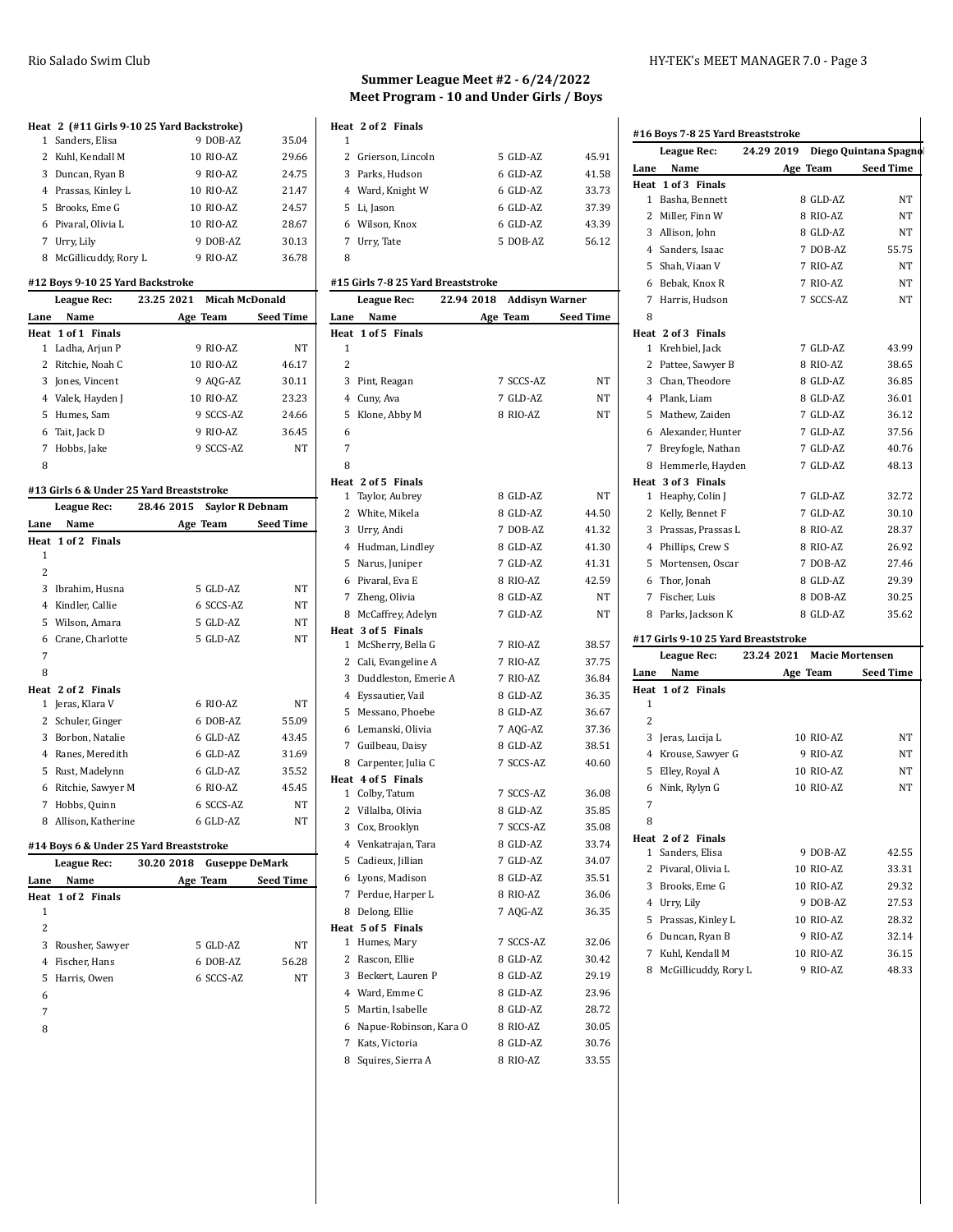#### **Heat 2 (#11 Girls 9-10 25 Yard Backstroke)**

| $\alpha$ $\alpha$ $\beta$ $\alpha$ $\beta$ $\beta$ $\beta$ $\beta$ $\beta$ $\alpha$ $\beta$ $\beta$ $\alpha$ $\beta$ $\beta$ $\beta$ $\beta$ |           |       |
|----------------------------------------------------------------------------------------------------------------------------------------------|-----------|-------|
| 1 Sanders, Elisa                                                                                                                             | 9 DOB-AZ  | 35.04 |
| 2 Kuhl, Kendall M                                                                                                                            | 10 RIO-AZ | 29.66 |
| 3 Duncan, Ryan B                                                                                                                             | 9 RIO-AZ  | 24.75 |
| 4 Prassas, Kinley L                                                                                                                          | 10 RIO-AZ | 21.47 |
| 5 Brooks, Eme G                                                                                                                              | 10 RIO-AZ | 24.57 |
| 6 Pivaral, Olivia L                                                                                                                          | 10 RIO-AZ | 28.67 |
| 7 Urry, Lily                                                                                                                                 | 9 DOB-AZ  | 30.13 |
| 8 McGillicuddy, Rory L                                                                                                                       | 9 RIO-AZ  | 36.78 |

### **#12 Boys 9-10 25 Yard Backstroke**

| League Rec: |                    | 23.25 2021 | <b>Micah McDonald</b> |                  |
|-------------|--------------------|------------|-----------------------|------------------|
| Lane        | Name               |            | Age Team              | <b>Seed Time</b> |
|             | Heat 1 of 1 Finals |            |                       |                  |
| 1           | Ladha, Arjun P     |            | 9 RIO-AZ              | <b>NT</b>        |
|             | 2 Ritchie, Noah C  |            | 10 RIO-AZ             | 46.17            |
| 3           | Jones, Vincent     |            | 9 AQG-AZ              | 30.11            |
|             | 4 Valek, Hayden J  |            | 10 RIO-AZ             | 23.23            |
|             | 5 Humes. Sam       |            | 9 SCCS-AZ             | 24.66            |
|             | 6 Tait, Jack D     |            | 9 RIO-AZ              | 36.45            |
| 7           | Hobbs, Jake        |            | 9 SCCS-AZ             | <b>NT</b>        |
| 8           |                    |            |                       |                  |

### **#13 Girls 6 & Under 25 Yard Breaststroke**

| League Rec: |                    | 28.46 2015 | <b>Saylor R Debnam</b> |                  |
|-------------|--------------------|------------|------------------------|------------------|
| Lane        | Name               |            | Age Team               | <b>Seed Time</b> |
|             | Heat 1 of 2 Finals |            |                        |                  |
| 1           |                    |            |                        |                  |
| 2           |                    |            |                        |                  |
| 3           | Ibrahim, Husna     |            | 5 GLD-AZ               | NT               |
| 4           | Kindler, Callie    |            | 6 SCCS-AZ              | NT               |
| 5           | Wilson, Amara      |            | 5 GLD-AZ               | NT               |
| 6           | Crane, Charlotte   |            | 5 GLD-AZ               | NT               |
| 7           |                    |            |                        |                  |
| 8           |                    |            |                        |                  |
|             | Heat 2 of 2 Finals |            |                        |                  |
| 1           | Jeras, Klara V     |            | 6 RIO-AZ               | NT               |
| 2           | Schuler, Ginger    |            | 6 DOB-AZ               | 55.09            |
| 3           | Borbon, Natalie    |            | 6 GLD-AZ               | 43.45            |
| 4           | Ranes, Meredith    |            | 6 GLD-AZ               | 31.69            |
| 5           | Rust, Madelynn     |            | 6 GLD-AZ               | 35.52            |
| 6           | Ritchie, Sawyer M  |            | 6 RIO-AZ               | 45.45            |
| 7           | Hobbs, Quinn       |            | 6 SCCS-AZ              | NT               |
| 8           | Allison, Katherine |            | 6 GLD-AZ               | NT               |

# **#14 Boys 6 & Under 25 Yard Breaststroke**

|      | <b>League Rec:</b> | 30.20 2018 | <b>Guseppe DeMark</b> |                  |
|------|--------------------|------------|-----------------------|------------------|
| Lane | Name               |            | Age Team              | <b>Seed Time</b> |
|      | Heat 1 of 2 Finals |            |                       |                  |
| 1    |                    |            |                       |                  |
| 2    |                    |            |                       |                  |
|      | 3 Rousher, Sawyer  |            | 5 GLD-AZ              | NT               |
| 4    | Fischer, Hans      |            | 6 DOB-AZ              | 56.28            |
| 5.   | Harris, Owen       |            | 6 SCCS-AZ             | NT               |
| 6    |                    |            |                       |                  |
|      |                    |            |                       |                  |

# **Summer League Meet #2 - 6/24/2022 Meet Program - 10 and Under Girls / Boys**

|   | Heat 2 of 2 Finals  |            |       |
|---|---------------------|------------|-------|
| 1 |                     |            |       |
|   | 2 Grierson, Lincoln | 5 GLD-AZ   | 45.91 |
|   | 3 Parks, Hudson     | $6$ GLD-AZ | 41.58 |
|   | 4 Ward, Knight W    | $6$ GLD-AZ | 33.73 |
|   | 5 Li, Jason         | $6$ GLD-AZ | 37.39 |
|   | 6 Wilson, Knox      | $6$ GLD-AZ | 43.39 |
|   | 7 Urry, Tate        | 5 DOB-AZ   | 56.12 |
| 8 |                     |            |       |

#### **#15 Girls 7-8 25 Yard Breaststroke**

|                | League Rec:                          | 22.94 2018 | <b>Addisyn Warner</b> |                    |
|----------------|--------------------------------------|------------|-----------------------|--------------------|
| Lane           | Name                                 |            |                       | Age Team Seed Time |
| Heat           | 1 of 5 Finals                        |            |                       |                    |
| 1              |                                      |            |                       |                    |
| $\overline{2}$ |                                      |            |                       |                    |
|                | 3 Pint, Reagan                       |            | 7 SCCS-AZ             | NT                 |
|                | 4 Cuny, Ava                          |            | 7 GLD-AZ              | NT                 |
| 5              | Klone, Abby M                        |            | 8 RIO-AZ              | NT                 |
| 6              |                                      |            |                       |                    |
| $\overline{7}$ |                                      |            |                       |                    |
| 8              |                                      |            |                       |                    |
|                | Heat 2 of 5 Finals                   |            |                       |                    |
|                | 1 Taylor, Aubrey                     |            | 8 GLD-AZ              | NT                 |
|                | 2 White, Mikela                      |            | 8 GLD-AZ              | 44.50              |
|                | 3 Urry, Andi                         |            | 7 DOB-AZ              | 41.32              |
|                | 4 Hudman, Lindley                    |            | 8 GLD-AZ              | 41.30              |
|                | 5 Narus, Juniper                     |            | 7 GLD-AZ              | 41.31              |
|                | 6 Pivaral, Eva E                     |            | 8 RIO-AZ              | 42.59              |
|                | 7 Zheng, Olivia                      |            | 8 GLD-AZ              | NT                 |
|                | 8 McCaffrey, Adelyn                  |            | 7 GLD-AZ              | NT                 |
|                | Heat 3 of 5 Finals                   |            |                       |                    |
|                | 1 McSherry, Bella G                  |            | 7 RIO-AZ              | 38.57              |
|                | 2 Cali, Evangeline A                 |            | 7 RIO-AZ              | 37.75              |
|                | 3 Duddleston, Emerie A               |            | 7 RIO-AZ              | 36.84              |
|                | 4 Eyssautier, Vail                   |            | 8 GLD-AZ              | 36.35              |
|                | 5 Messano, Phoebe                    |            | 8 GLD-AZ              | 36.67              |
|                | 6 Lemanski, Olivia                   |            | 7 AQG-AZ              | 37.36              |
|                | 7 Guilbeau, Daisy                    |            | 8 GLD-AZ              | 38.51              |
|                | 8 Carpenter, Julia C                 |            | 7 SCCS-AZ             | 40.60              |
|                | Heat 4 of 5 Finals<br>1 Colby, Tatum |            | 7 SCCS-AZ             | 36.08              |
|                | 2 Villalba, Olivia                   |            | 8 GLD-AZ              | 35.85              |
|                | 3 Cox, Brooklyn                      |            | 7 SCCS-AZ             | 35.08              |
|                | 4 Venkatrajan, Tara                  |            | 8 GLD-AZ              | 33.74              |
|                | 5 Cadieux, Jillian                   |            | 7 GLD-AZ              | 34.07              |
|                | 6 Lyons, Madison                     |            | 8 GLD-AZ              | 35.51              |
|                | 7 Perdue, Harper L                   |            | 8 RIO-AZ              | 36.06              |
|                | 8 Delong, Ellie                      |            | 7 AQG-AZ              | 36.35              |
|                | Heat 5 of 5 Finals                   |            |                       |                    |
|                | 1 Humes, Mary                        |            | 7 SCCS-AZ             | 32.06              |
|                | 2 Rascon, Ellie                      |            | 8 GLD-AZ              | 30.42              |
|                | 3 Beckert, Lauren P                  |            | 8 GLD-AZ              | 29.19              |
|                | 4 Ward, Emme C                       |            | 8 GLD-AZ              | 23.96              |
| 5              | Martin, Isabelle                     |            | 8 GLD-AZ              | 28.72              |
|                | 6 Napue-Robinson, Kara O             |            | 8 RIO-AZ              | 30.05              |
|                | 7 Kats, Victoria                     |            | 8 GLD-AZ              | 30.76              |
| 8              | Squires, Sierra A                    |            | 8 RIO-AZ              | 33.55              |

|              | League Rec:                                        | 24.29 2019 |                        | Diego Quintana Spagno |
|--------------|----------------------------------------------------|------------|------------------------|-----------------------|
| Lane         | Name                                               |            | Age Team               | <b>Seed Time</b>      |
|              | Heat 1 of 3 Finals                                 |            |                        |                       |
|              | 1 Basha, Bennett                                   |            | 8 GLD-AZ               | NΤ                    |
|              | 2 Miller, Finn W                                   |            | 8 RIO-AZ               | NΤ                    |
|              | 3 Allison, John                                    |            | 8 GLD-AZ               | NT                    |
|              | 4 Sanders, Isaac                                   |            | 7 DOB-AZ               | 55.75                 |
|              | 5 Shah. Viaan V                                    |            | 7 RIO-AZ               | NT                    |
|              | 6 Bebak, Knox R                                    |            | 7 RIO-AZ               | NT                    |
|              | 7 Harris, Hudson                                   |            | 7 SCCS-AZ              | NT                    |
| 8            |                                                    |            |                        |                       |
|              | Heat 2 of 3 Finals                                 |            |                        |                       |
|              | 1 Krehbiel, Jack                                   |            | 7 GLD-AZ               | 43.99                 |
|              | 2 Pattee, Sawyer B                                 |            | 8 RIO-AZ               | 38.65                 |
|              | 3 Chan, Theodore                                   |            | 8 GLD-AZ               | 36.85                 |
|              | 4 Plank, Liam                                      |            | 8 GLD-AZ               | 36.01                 |
|              | 5 Mathew, Zaiden                                   |            | 7 GLD-AZ               | 36.12                 |
|              | 6 Alexander, Hunter                                |            | 7 GLD-AZ               | 37.56                 |
|              | 7 Breyfogle, Nathan                                |            | 7 GLD-AZ               | 40.76                 |
|              | 8 Hemmerle, Hayden                                 |            | 7 GLD-AZ               | 48.13                 |
|              | Heat 3 of 3 Finals                                 |            |                        |                       |
|              | 1 Heaphy, Colin J                                  |            | 7 GLD-AZ               | 32.72                 |
|              | 2 Kelly, Bennet F                                  |            | 7 GLD-AZ               | 30.10                 |
|              | 3 Prassas, Prassas L                               |            | 8 RIO-AZ               | 28.37                 |
|              | 4 Phillips, Crew S                                 |            | 8 RIO-AZ               | 26.92                 |
|              | 5 Mortensen, Oscar                                 |            | 7 DOB-AZ               | 27.46                 |
|              | 6 Thor, Jonah                                      |            | 8 GLD-AZ               | 29.39                 |
|              | 7 Fischer, Luis                                    |            | 8 DOB-AZ               | 30.25                 |
|              | 8 Parks, Jackson K                                 |            | 8 GLD-AZ               | 35.62                 |
|              |                                                    |            |                        |                       |
|              | #17 Girls 9-10 25 Yard Breaststroke<br>League Rec: | 23.24 2021 | <b>Macie Mortensen</b> |                       |
| Lane         | Name                                               |            |                        | <b>Seed Time</b>      |
|              | Heat 1 of 2 Finals                                 | Age Team   |                        |                       |
| 1            |                                                    |            |                        |                       |
| 2            |                                                    |            |                        |                       |
|              | 3 Jeras, Lucija L                                  |            | 10 RIO-AZ              | NΤ                    |
|              | 4 Krouse, Sawyer G                                 |            | 9 RIO-AZ               | NΤ                    |
|              | 5 Elley, Royal A                                   |            | 10 RIO-AZ              | NT                    |
| 6            | Nink, Rylyn G                                      |            | 10 RIO-AZ              | NT                    |
| 7            |                                                    |            |                        |                       |
|              |                                                    |            |                        |                       |
| 8            |                                                    |            |                        |                       |
| $\mathbf{1}$ | Heat 2 of 2 Finals<br>Sanders, Elisa               |            | 9 DOB-AZ               | 42.55                 |
|              | 2 Pivaral, Olivia L                                |            | 10 RIO-AZ              | 33.31                 |
|              |                                                    |            | 10 RIO-AZ              |                       |
|              | 3 Brooks, Eme G                                    |            |                        | 29.32                 |
|              | 4 Urry, Lily<br>5 Prassas, Kinley L                |            | 9 DOB-AZ<br>10 RIO-AZ  | 27.53<br>28.32        |
|              |                                                    |            |                        |                       |
|              |                                                    |            |                        |                       |
|              | 6 Duncan, Ryan B                                   |            | 9 RIO-AZ               | 32.14                 |
|              | 7 Kuhl, Kendall M<br>8 McGillicuddy, Rory L        |            | 10 RIO-AZ<br>9 RIO-AZ  | 36.15<br>48.33        |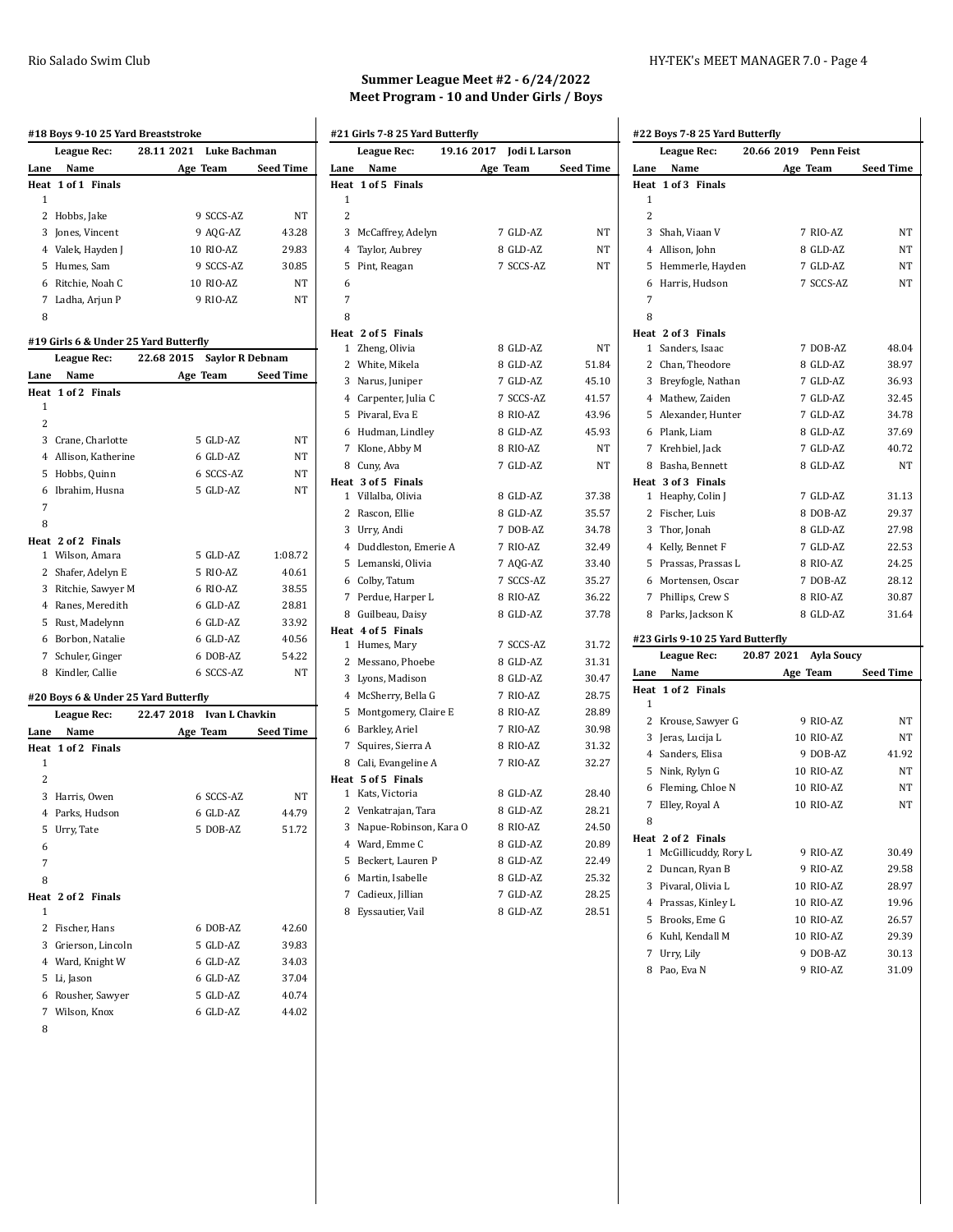|      | #18 Boys 9-10 25 Yard Breaststroke    | 28.11 2021<br><b>Luke Bachman</b>    |                  |
|------|---------------------------------------|--------------------------------------|------------------|
| Lane | League Rec:<br>Name                   | Age Team                             | <b>Seed Time</b> |
|      | Heat 1 of 1 Finals                    |                                      |                  |
| 1    |                                       |                                      |                  |
|      | 2 Hobbs, Jake                         | 9 SCCS-AZ                            | NΤ               |
|      | 3 Jones, Vincent                      | 9 AQG-AZ                             | 43.28            |
|      | 4 Valek, Hayden J                     | 10 RIO-AZ                            | 29.83            |
|      | 5 Humes, Sam                          | 9 SCCS-AZ                            | 30.85            |
|      | 6 Ritchie, Noah C                     | 10 RIO-AZ                            | NT               |
|      | 7 Ladha, Arjun P                      | 9 RIO-AZ                             | NT               |
| 8    |                                       |                                      |                  |
|      | #19 Girls 6 & Under 25 Yard Butterfly |                                      |                  |
|      | <b>League Rec:</b>                    | 22.68 2015<br><b>Saylor R Debnam</b> |                  |
| Lane | Name                                  | Age Team                             | Seed Time        |
|      | Heat 1 of 2 Finals                    |                                      |                  |
| 1    |                                       |                                      |                  |
| 2    |                                       |                                      |                  |
|      | 3 Crane, Charlotte                    | 5 GLD-AZ                             | NΤ               |
|      | 4 Allison, Katherine                  | 6 GLD-AZ                             | NT               |
|      | 5 Hobbs, Quinn                        | 6 SCCS-AZ                            | NΤ               |
|      | 6 Ibrahim, Husna                      | 5 GLD-AZ                             | NΤ               |
| 7    |                                       |                                      |                  |
| 8    |                                       |                                      |                  |
|      | Heat 2 of 2 Finals<br>1 Wilson, Amara | 5 GLD-AZ                             | 1:08.72          |
|      |                                       |                                      |                  |
|      | 2 Shafer, Adelyn E                    | 5 RIO-AZ                             | 40.61            |
|      | 3 Ritchie, Sawyer M                   | 6 RIO-AZ                             | 38.55            |
|      | 4 Ranes, Meredith                     | 6 GLD-AZ                             | 28.81            |
|      | 5 Rust, Madelynn                      | 6 GLD-AZ                             | 33.92            |
|      | 6 Borbon, Natalie                     | 6 GLD-AZ                             | 40.56            |
|      | 7 Schuler, Ginger                     | 6 DOB-AZ                             | 54.22            |
|      | 8 Kindler, Callie                     | 6 SCCS-AZ                            | NT               |
|      | #20 Boys 6 & Under 25 Yard Butterfly  |                                      |                  |
|      | <b>League Rec:</b>                    | 22.47 2018 Ivan L Chavkin            |                  |
| Lane | Name                                  | Age Team                             | <b>Seed Time</b> |
| Heat | 1 of 2 Finals                         |                                      |                  |
| 1    |                                       |                                      |                  |
| 2    |                                       |                                      |                  |
|      | 3 Harris, Owen                        | 6 SCCS-AZ                            | NΤ               |
| 4    | Parks, Hudson                         | 6 GLD-AZ                             | 44.79            |
| 5    | Urry, Tate                            | 5 DOB-AZ                             | 51.72            |
| 6    |                                       |                                      |                  |
| 7    |                                       |                                      |                  |
| 8    |                                       |                                      |                  |
| 1    | Heat 2 of 2 Finals                    |                                      |                  |
| 2    | Fischer, Hans                         | 6 DOB-AZ                             | 42.60            |
| 3    |                                       | 5 GLD-AZ                             | 39.83            |
|      | Grierson, Lincoln                     |                                      |                  |

 Ward, Knight W 6 GLD-AZ 34.03 Li, Jason 6 GLD-AZ 37.04 Rousher, Sawyer 5 GLD-AZ 40.74 Wilson, Knox 6 GLD-AZ 44.02

| Summer League Meet #2 $-6/24/2022$       |
|------------------------------------------|
| Meet Program - 10 and Under Girls / Boys |

|                | League Rec:            | 19.16 2017 Jodi L Larson |           |
|----------------|------------------------|--------------------------|-----------|
| Lane           | Name                   | Age Team                 | Seed Time |
|                | Heat 1 of 5 Finals     |                          |           |
| 1              |                        |                          |           |
| $\overline{2}$ |                        |                          |           |
| 3              | McCaffrey, Adelyn      | 7 GLD-AZ                 | NT        |
| 4              | Taylor, Aubrey         | 8 GLD-AZ                 | NT        |
| 5              | Pint, Reagan           | 7 SCCS-AZ                | NT        |
| 6              |                        |                          |           |
| 7              |                        |                          |           |
| 8              |                        |                          |           |
|                | Heat 2 of 5 Finals     |                          |           |
| 1              | Zheng, Olivia          | 8 GLD-AZ                 | NT        |
| 2              | White, Mikela          | 8 GLD-AZ                 | 51.84     |
|                | 3 Narus, Juniper       | 7 GLD-AZ                 | 45.10     |
|                | 4 Carpenter, Julia C   | 7 SCCS-AZ                | 41.57     |
| 5              | Pivaral, Eva E         | 8 RIO-AZ                 | 43.96     |
|                | 6 Hudman, Lindley      | 8 GLD-AZ                 | 45.93     |
| 7              | Klone, Abby M          | 8 RIO-AZ                 | NT        |
|                | 8 Cuny, Ava            | 7 GLD-AZ                 | NT        |
|                | Heat 3 of 5 Finals     |                          |           |
| 1              | Villalba, Olivia       | 8 GLD-AZ                 | 37.38     |
| 2              | Rascon, Ellie          | 8 GLD-AZ                 | 35.57     |
|                | 3 Urry, Andi           | 7 DOB-AZ                 | 34.78     |
| 4              | Duddleston, Emerie A   | 7 RIO-AZ                 | 32.49     |
| 5              | Lemanski, Olivia       | 7 AQG-AZ                 | 33.40     |
|                | 6 Colby, Tatum         | 7 SCCS-AZ                | 35.27     |
| 7              | Perdue, Harper L       | 8 RIO-AZ                 | 36.22     |
| 8              | Guilbeau, Daisy        | 8 GLD-AZ                 | 37.78     |
|                | Heat 4 of 5 Finals     |                          |           |
| $\mathbf{1}$   | Humes, Mary            | 7 SCCS-AZ                | 31.72     |
| 2              | Messano, Phoebe        | 8 GLD-AZ                 | 31.31     |
|                | 3 Lyons, Madison       | 8 GLD-AZ                 | 30.47     |
| 4              | McSherry, Bella G      | 7 RIO-AZ                 | 28.75     |
| 5              | Montgomery, Claire E   | 8 RIO-AZ                 | 28.89     |
|                | 6 Barkley, Ariel       | 7 RIO-AZ                 | 30.98     |
| 7              | Squires, Sierra A      | 8 RIO-AZ                 | 31.32     |
|                | 8 Cali, Evangeline A   | 7 RIO-AZ                 | 32.27     |
|                | Heat 5 of 5 Finals     |                          |           |
| 1              | Kats, Victoria         | 8 GLD-AZ                 | 28.40     |
| 2              | Venkatrajan, Tara      | 8 GLD-AZ                 | 28.21     |
| 3              | Napue-Robinson, Kara O | 8 RIO-AZ                 | 24.50     |
|                | 4 Ward, Emme C         | 8 GLD-AZ                 | 20.89     |
| 5              | Beckert, Lauren P      | 8 GLD-AZ                 | 22.49     |
| 6              | Martin, Isabelle       | 8 GLD-AZ                 | 25.32     |
| 7              | Cadieux, Jillian       | 7 GLD-AZ                 | 28.25     |
| 8              | Eyssautier, Vail       | 8 GLD-AZ                 | 28.51     |

| #22 Boys 7-8 25 Yard Butterfly |                                  |                                 |                  |  |
|--------------------------------|----------------------------------|---------------------------------|------------------|--|
|                                | <b>League Rec:</b>               | 20.66 2019<br><b>Penn Feist</b> |                  |  |
| Lane                           | Name                             | Age Team                        | <b>Seed Time</b> |  |
| Heat                           | 1 of 3 Finals                    |                                 |                  |  |
| 1                              |                                  |                                 |                  |  |
| 2                              |                                  |                                 |                  |  |
| 3                              | Shah, Viaan V                    | 7 RIO-AZ                        | NT               |  |
|                                | 4 Allison, John                  | 8 GLD-AZ                        | NΤ               |  |
| 5                              | Hemmerle, Hayden                 | 7 GLD-AZ                        | NΤ               |  |
| 6                              | Harris, Hudson                   | 7 SCCS-AZ                       | NΤ               |  |
| 7                              |                                  |                                 |                  |  |
| 8                              |                                  |                                 |                  |  |
|                                | Heat 2 of 3 Finals               |                                 |                  |  |
| 1                              | Sanders, Isaac                   | 7 DOB-AZ                        | 48.04            |  |
|                                | 2 Chan, Theodore                 | 8 GLD-AZ                        | 38.97            |  |
|                                | 3 Breyfogle, Nathan              | 7 GLD-AZ                        | 36.93            |  |
|                                | 4 Mathew, Zaiden                 | 7 GLD-AZ                        | 32.45            |  |
|                                | 5 Alexander, Hunter              | 7 GLD-AZ                        | 34.78            |  |
|                                | 6 Plank, Liam                    | 8 GLD-AZ                        | 37.69            |  |
| 7                              | Krehbiel, Jack                   | 7 GLD-AZ                        | 40.72            |  |
|                                | 8 Basha, Bennett                 | 8 GLD-AZ                        | NT               |  |
|                                | Heat 3 of 3 Finals               |                                 |                  |  |
| $\mathbf{1}$                   | Heaphy, Colin J                  | 7 GLD-AZ                        | 31.13            |  |
|                                | 2 Fischer, Luis                  | 8 DOB-AZ                        | 29.37            |  |
|                                | 3 Thor, Jonah                    | 8 GLD-AZ                        | 27.98            |  |
|                                | 4 Kelly, Bennet F                | 7 GLD-AZ                        | 22.53            |  |
|                                | 5 Prassas, Prassas L             | 8 RIO-AZ                        | 24.25            |  |
|                                | 6 Mortensen, Oscar               | 7 DOB-AZ                        | 28.12            |  |
|                                | 7 Phillips, Crew S               | 8 RIO-AZ                        | 30.87            |  |
| 8                              | Parks, Jackson K                 | 8 GLD-AZ                        | 31.64            |  |
|                                | #23 Girls 9-10 25 Yard Butterfly |                                 |                  |  |
|                                | League Rec:                      | 20.87 2021<br><b>Ayla Soucy</b> |                  |  |
| Lane                           | Name                             | Age Team                        | <b>Seed Time</b> |  |
|                                | Heat 1 of 2 Finals               |                                 |                  |  |
| 1                              |                                  |                                 |                  |  |
| $\mathbf{2}$                   | Krouse, Sawyer G                 | 9 RIO-AZ                        | NΤ               |  |
|                                | 3 Jeras, Lucija L                | 10 RIO-AZ                       | NΤ               |  |
|                                | 4 Sanders, Elisa                 | 9 DOB-AZ                        | 41.92            |  |
|                                | 5 Nink, Rylyn G                  | 10 RIO-AZ                       | NΤ               |  |
|                                | 6 Fleming, Chloe N               | <b>10 RIO-AZ</b>                | NT               |  |
| 7                              | Elley, Royal A                   | 10 RIO-AZ                       | NT               |  |
| 8                              |                                  |                                 |                  |  |
|                                | Heat 2 of 2 Finals               |                                 |                  |  |
| 1                              | McGillicuddy, Rory L             | 9 RIO-AZ                        | 30.49            |  |
| $\mathbf{2}$                   | Duncan, Ryan B                   | 9 RIO-AZ                        | 29.58            |  |
|                                | 3 Pivaral, Olivia L              | 10 RIO-AZ                       | 28.97            |  |
|                                | 4 Prassas, Kinley L              | 10 RIO-AZ                       | 19.96            |  |
|                                | 5 Brooks, Eme G                  | 10 RIO-AZ                       | 26.57            |  |
|                                | 6 Kuhl, Kendall M                | 10 RIO-AZ                       | 29.39            |  |
| 7                              | Urry, Lily                       | 9 DOB-AZ                        | 30.13            |  |
|                                | 8 Pao, Eva N                     | 9 RIO-AZ                        | 31.09            |  |